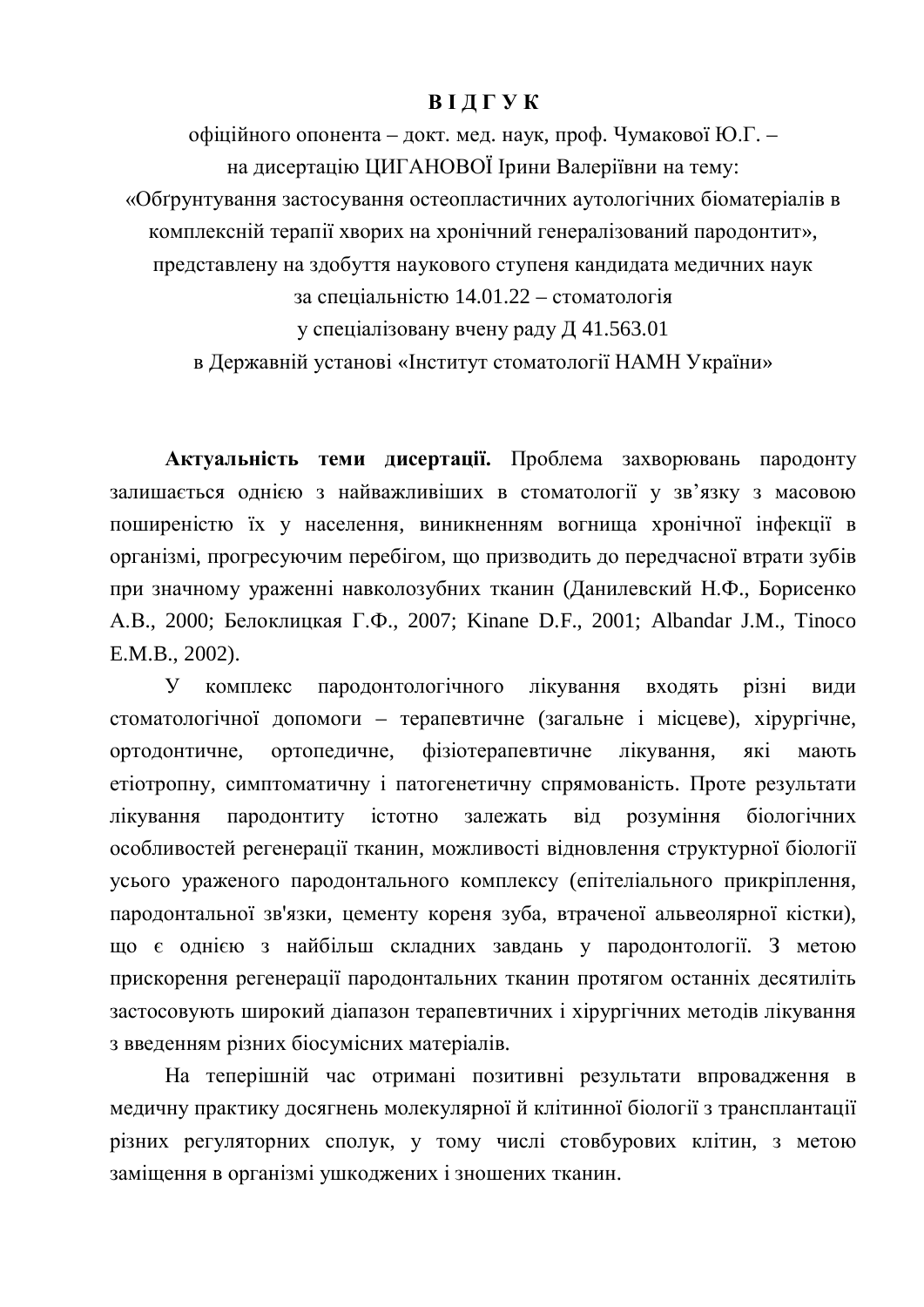## **BI II I Y K**

офіційного опонента – докт. мед. наук, проф. Чумакової Ю.Г. – на лисертацію ШИГАНОВОЇ Ірини Валеріївни на тему: «Обґрунтування застосування остеопластичних аутологічних біоматеріалів в комплексній терапії хворих на хронічний генералізований пародонтит», представлену на здобуття наукового ступеня кандидата медичних наук за спеціальністю 14.01.22 – стоматологія у спеціалізовану вчену раду Д $41.563.01$ в Державній установі «Інститут стоматології НАМН України»

Актуальність теми дисертації. Проблема захворювань пародонту залишається однією з найважливіших в стоматології у зв'язку з масовою поширеністю їх у населення, виникненням вогнища хронічної інфекції в організмі, прогресуючим перебігом, що призводить до передчасної втрати зубів при значному ураженні навколозубних тканин (Данилевский Н.Ф., Борисенко A.B., 2000; Белоклицкая Г.Ф., 2007; Kinane D.F., 2001; Albandar J.M., Tinoco E.M.B., 2002).

У комплекс пародонтологічного лікування входять різні види стоматологічної допомоги – терапевтичне (загальне і місцеве), хірургічне, ортодонтичне, ортопедичне, фізіотерапевтичне лікування, які мають етіотропну, симптоматичну і патогенетичну спрямованість. Проте результати лікування пародонтиту істотно залежать від розуміння біологічних особливостей регенерації тканин, можливості відновлення структурної біології усього ураженого пародонтального комплексу (епітеліального прикріплення, пародонтальної зв'язки, цементу кореня зуба, втраченої альвеолярної кістки), що є однією з найбільш складних завдань у пародонтології. З метою прискорення регенерації пародонтальних тканин протягом останніх десятиліть застосовують широкий діапазон терапевтичних і хірургічних методів лікування з введенням різних біосумісних матеріалів.

На теперішній час отримані позитивні результати впровадження в медичну практику досягнень молекулярної й клітинної біології з трансплантації різних регуляторних сполук, у тому числі стовбурових клітин, з метою заміщення в організмі ушкоджених і зношених тканин.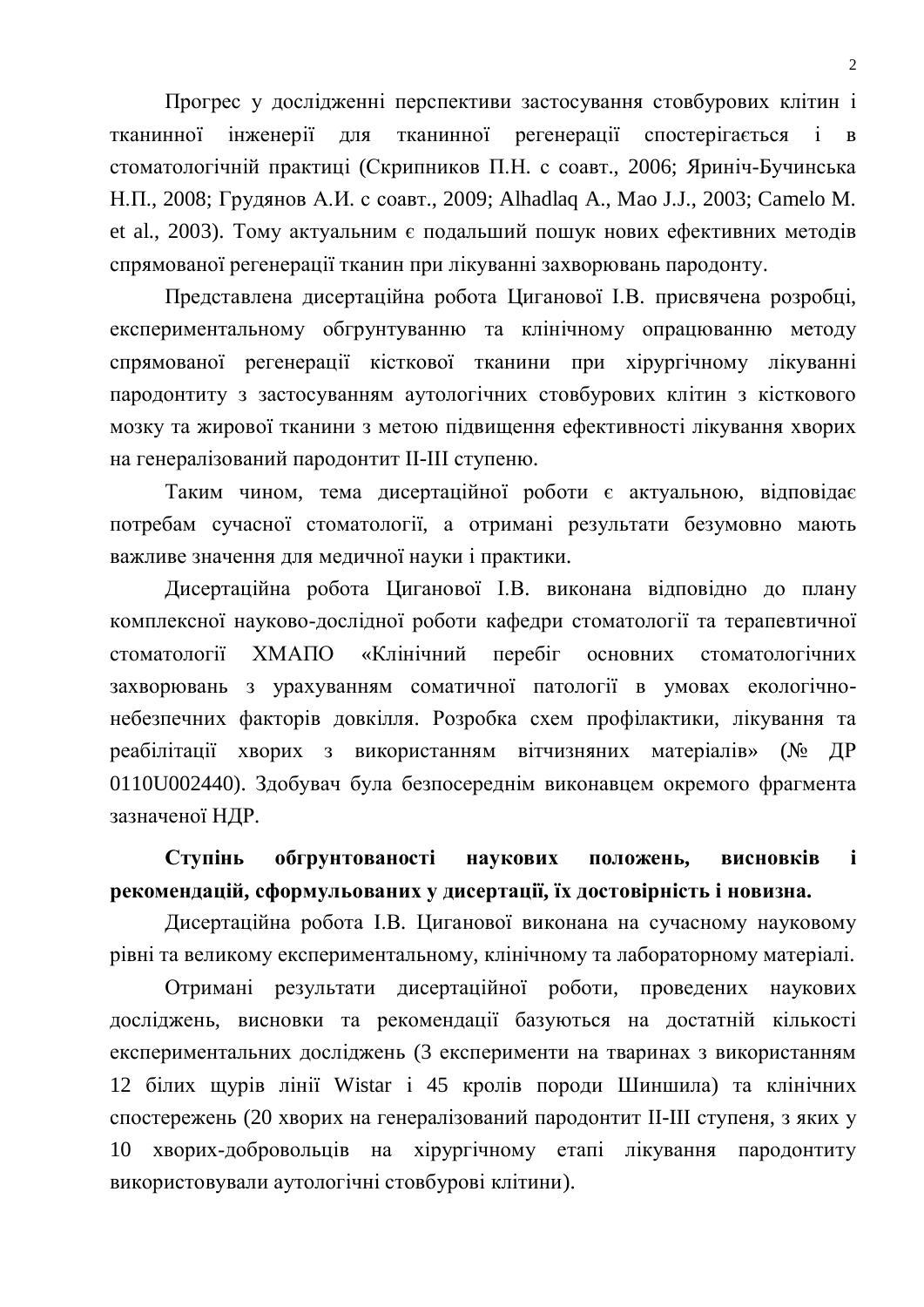Прогрес у дослідженні перспективи застосування стовбурових клітин і тканинної інженерії для тканинної регенерації спостерігається і в стоматологічній практиці (Скрипников П.Н. с соавт., 2006; Яриніч-Бучинська Н.П., 2008; Грудянов А.И. с соавт., 2009; Alhadlaq A., Mao J.J., 2003; Camelo M. et al., 2003). Тому актуальним є подальший пошук нових ефективних методів спрямованої регенерації тканин при лікуванні захворювань пародонту.

Представлена дисертаційна робота Циганової І.В. присвячена розробці, експериментальному обгрунтуванню та клінічному опрацюванню методу спрямованої регенерації кісткової тканини при хірургічному лікуванні пародонтиту з застосуванням аутологічних стовбурових клітин з кісткового мозку та жирової тканини з метою підвищення ефективності лікування хворих на генералізований пародонтит II-III ступеню.

Таким чином, тема дисертаційної роботи є актуальною, відповідає потребам сучасної стоматології, а отримані результати безумовно мають важливе значення для медичної науки і практики.

Дисертаційна робота Циганової І.В. виконана відповідно до плану комплексної науково-дослідної роботи кафедри стоматології та терапевтичної стоматології ХМАПО «Клінічний перебіг основних стоматологічних захворювань з урахуванням соматичної патології в умовах екологічнонебезпечних факторів довкілля. Розробка схем профілактики, лікування та реабілітації хворих з використанням вітчизняних матеріалів» (№ ДР 0110U002440). Здобувач була безпосереднім виконавцем окремого фрагмента зазначеної НДР.

# Ступінь обгрунтованості наукових положень, висновків і **рекомендацій, сформульованих у дисертації, їх достовірність і новизна.**

Дисертаційна робота І.В. Циганової виконана на сучасному науковому рівні та великому експериментальному, клінічному та лабораторному матеріалі.

Отримані результати дисертаційної роботи, проведених наукових досліджень, висновки та рекомендації базуються на достатній кількості експериментальних досліджень (3 експерименти на тваринах з використанням 12 білих щурів лінії Wistar і 45 кролів породи Шиншила) та клінічних спостережень (20 хворих на генералізований пародонтит II-III ступеня, з яких у 10 хворих-добровольців на хірургічному етапі лікування пародонтиту використовували аутологічні стовбурові клітини).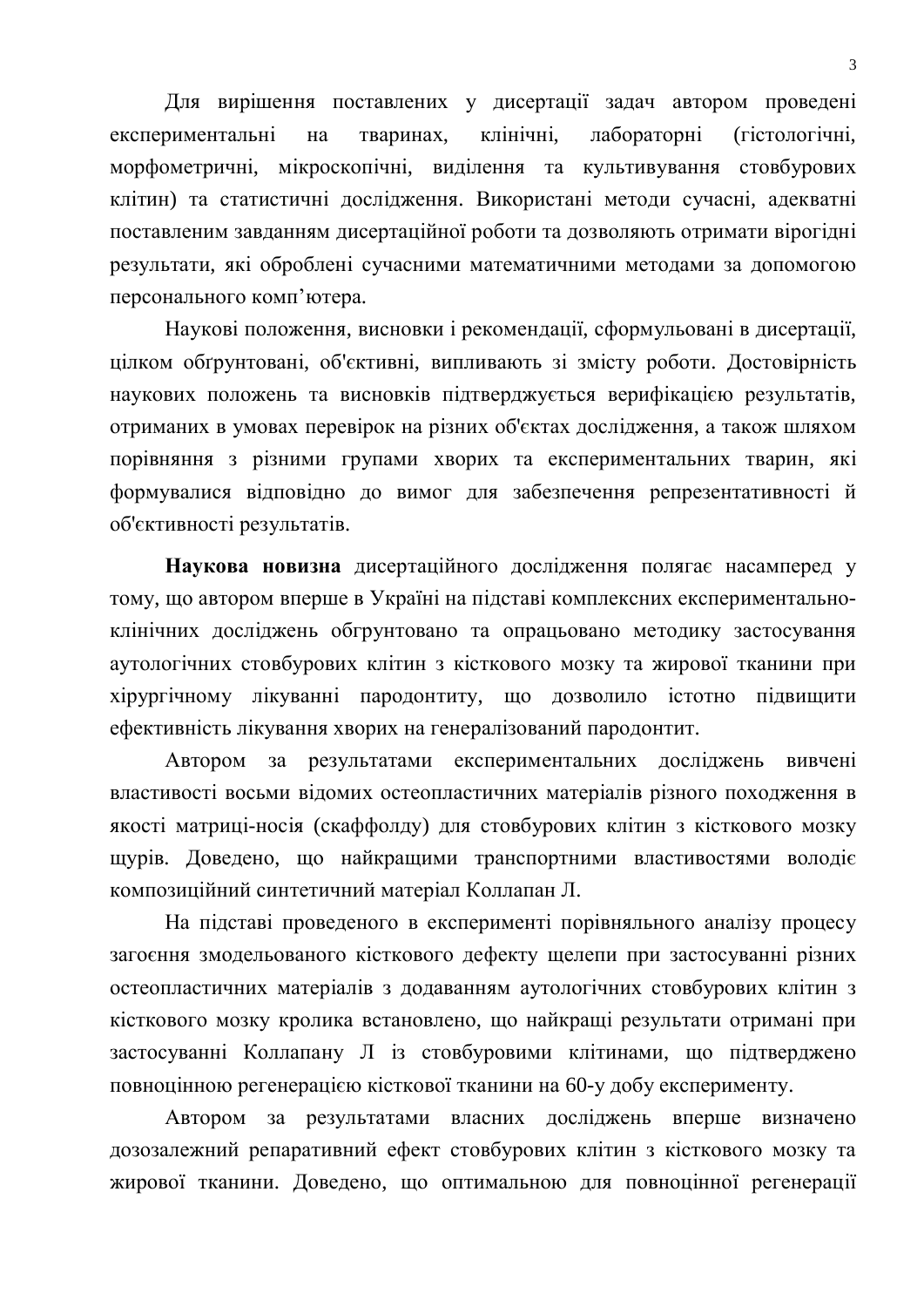Для вирішення поставлених у дисертації задач автором проведені експериментальні на тваринах, клінічні, лабораторні (гістологічні, морфометричні, мікроскопічні, виділення та культивування стовбурових клітин) та статистичні дослідження. Використані методи сучасні, адекватні поставленим завданням дисертаційної роботи та дозволяють отримати вірогідні результати, які оброблені сучасними математичними методами за допомогою персонального комп'ютера.

Наукові положення, висновки і рекомендації, сформульовані в дисертації, цілком обгрунтовані, об'єктивні, випливають зі змісту роботи. Достовірність наукових положень та висновків підтверджується верифікацією результатів, отриманих в умовах перевірок на різних об'єктах дослідження, а також шляхом порівняння з різними групами хворих та експериментальних тварин, які формувалися відповідно до вимог для забезпечення репрезентативності й об'єктивності результатів.

Наукова новизна дисертаційного дослідження полягає насамперед у тому, що автором вперше в Україні на підставі комплексних експериментальноклінічних досліджень обгрунтовано та опрацьовано методику застосування аутологічних стовбурових клітин з кісткового мозку та жирової тканини при хірургічному лікуванні пародонтиту, що дозволило істотно підвищити ефективність лікування хворих на генералізований пародонтит.

Автором за результатами експериментальних досліджень вивчені властивості восьми відомих остеопластичних матеріалів різного походження в якості матриці-носія (скаффолду) для стовбурових клітин з кісткового мозку щурів. Доведено, що найкращими транспортними властивостями володіє композиційний синтетичний матеріал Коллапан Л.

На підставі проведеного в експерименті порівняльного аналізу процесу загоєння змодельованого кісткового дефекту щелепи при застосуванні різних остеопластичних матеріалів з додаванням аутологічних стовбурових клітин з кісткового мозку кролика встановлено, що найкращі результати отримані при застосуванні Коллапану Л із стовбуровими клітинами, що підтверджено повноцінною регенерацією кісткової тканини на 60-у добу експерименту.

Автором за результатами власних досліджень вперше визначено дозозалежний репаративний ефект стовбурових клітин з кісткового мозку та жирової тканини. Доведено, що оптимальною для повноцінної регенерації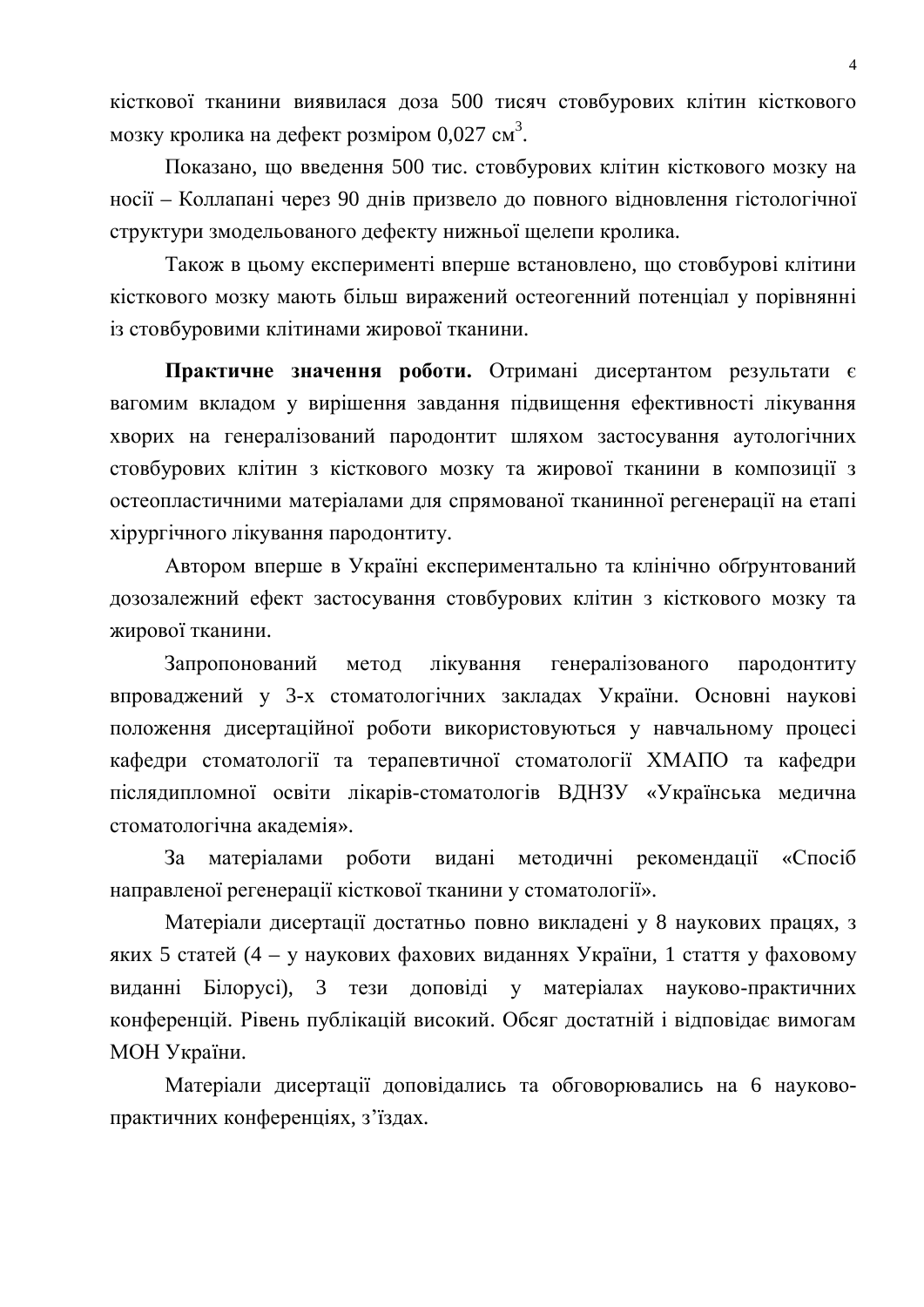кісткової тканини виявилася доза 500 тисяч стовбурових клітин кісткового мозку кролика на дефект розміром 0,027 см<sup>3</sup>.

Показано, що введення 500 тис. стовбурових клітин кісткового мозку на носії – Коллапані через 90 лнів призвело до повного вілновлення гістологічної структури змодельованого дефекту нижньої щелепи кролика.

Також в цьому експерименті вперше встановлено, що стовбурові клітини кісткового мозку мають більш виражений остеогенний потенціал у порівнянні із стовбуровими клітинами жирової тканини.

Практичне значення роботи. Отримані дисертантом результати є вагомим вкладом у вирішення завдання підвищення ефективності лікування хворих на генералізований пародонтит шляхом застосування аутологічних стовбурових клітин з кісткового мозку та жирової тканини в композиції з остеопластичними матеріалами лля спрямованої тканинної регенерації на етапі хірургічного лікування пародонтиту.

Автором вперше в Україні експериментально та клінічно обґрунтований дозозалежний ефект застосування стовбурових клітин з кісткового мозку та жирової тканини.

Запропонований метод лікування генералізованого пародонтиту впроваджений у 3-х стоматологічних закладах України. Основні наукові положення дисертаційної роботи використовуються у навчальному процесі кафедри стоматології та терапевтичної стоматології ХМАПО та кафедри післядипломної освіти лікарів-стоматологів ВДНЗУ «Українська медична стоматологічна академія».

За матеріалами роботи видані методичні рекомендації «Спосіб направленої регенерації кісткової тканини у стоматології».

Матеріали дисертації достатньо повно викладені у 8 наукових працях, з яких 5 статей (4 – у наукових фахових виданнях України, 1 стаття у фаховому виданні Білорусі), 3 тези доповіді у матеріалах науково-практичних конференцій. Рівень публікацій високий. Обсяг достатній і відповідає вимогам МОН України.

Матеріали дисертації доповідались та обговорювались на 6 науковопрактичних конференціях, з'їздах.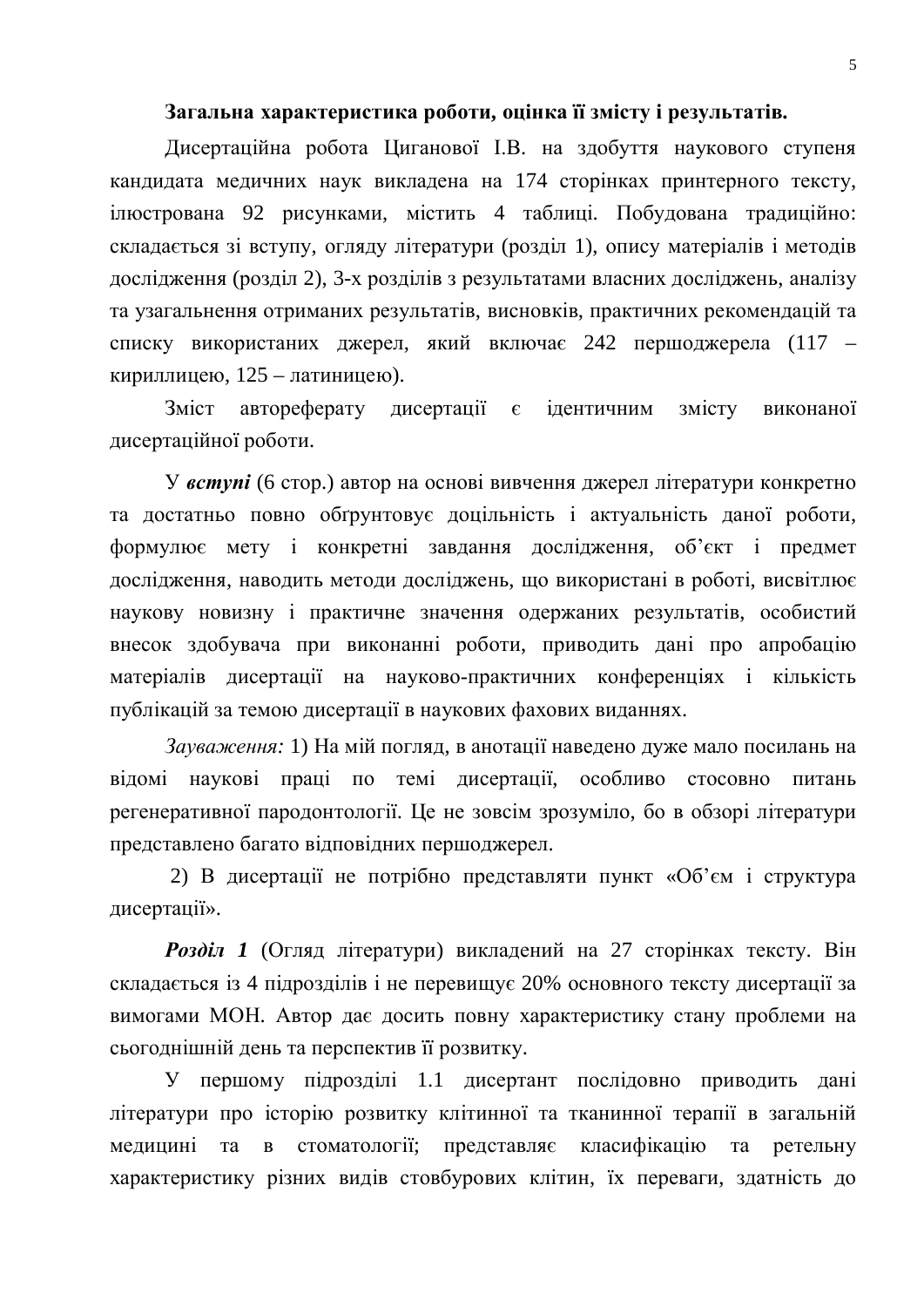## Загальна характеристика роботи, оцінка її змісту і результатів.

Дисертаційна робота Циганової І.В. на здобуття наукового ступеня кандидата медичних наук викладена на 174 сторінках принтерного тексту, ілюстрована 92 рисунками, містить 4 таблиці. Побудована традиційно: складається зі вступу, огляду літератури (розділ 1), опису матеріалів і методів дослідження (розділ 2), 3-х розділів з результатами власних досліджень, аналізу та узагальнення отриманих результатів, висновків, практичних рекомендацій та списку використаних джерел, який включає 242 першоджерела (117 – кириллицею,  $125 - \text{латиницею}$ ).

Зміст автореферату дисертації є ідентичним змісту виконаної дисертаційної роботи.

У *вступі* (6 стор.) автор на основі вивчення джерел літератури конкретно та достатньо повно обгрунтовує доцільність і актуальність даної роботи, формулює мету і конкретні завдання дослідження, об'єкт і предмет дослідження, наводить методи досліджень, що використані в роботі, висвітлює наукову новизну і практичне значення одержаних результатів, особистий внесок здобувача при виконанні роботи, приводить дані про апробацію матеріалів дисертації на науково-практичних конференціях і кількість публікацій за темою дисертації в наукових фахових виданнях.

Зауваження: 1) На мій погляд, в анотації наведено дуже мало посилань на відомі наукові праці по темі дисертації, особливо стосовно питань регенеративної пародонтології. Це не зовсім зрозуміло, бо в обзорі літератури представлено багато відповідних першоджерел.

2) В дисертації не потрібно представляти пункт «Об'єм і структура дисертації».

**Розділ 1** (Огляд літератури) викладений на 27 сторінках тексту. Він складається із 4 підрозділів і не перевищує 20% основного тексту дисертації за вимогами МОН. Автор дає досить повну характеристику стану проблеми на сьогоднішній день та перспектив її розвитку.

У першому підрозділі 1.1 дисертант послідовно приводить дані літератури про історію розвитку клітинної та тканинної терапії в загальній медицині та в стоматології; представляє класифікацію та ретельну характеристику різних видів стовбурових клітин, їх переваги, здатність до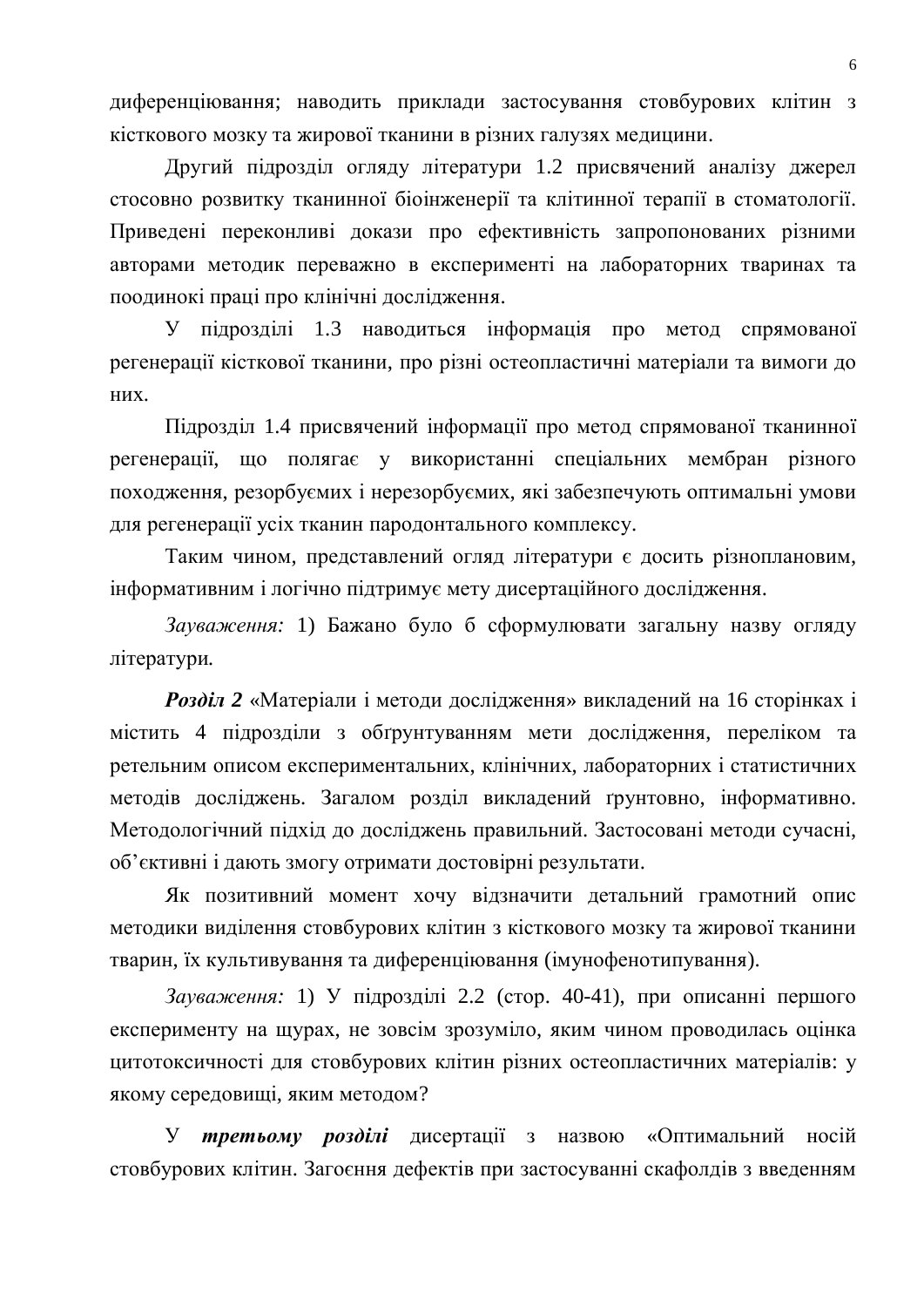диференціювання; наводить приклади застосування стовбурових клітин з кісткового мозку та жирової тканини в різних галузях медицини.

Другий підрозділ огляду літератури 1.2 присвячений аналізу джерел стосовно розвитку тканинної біоінженерії та клітинної терапії в стоматології. Приведені переконливі докази про ефективність запропонованих різними авторами методик переважно в експерименті на лабораторних тваринах та поодинокі праці про клінічні дослідження.

У підрозділі 1.3 наводиться інформація про метод спрямованої регенерації кісткової тканини, про різні остеопластичні матеріали та вимоги до них.

Пілрозділ 1.4 присвячений інформації про метод спрямованої тканинної регенерації, що полягає у використанні спеціальних мембран різного походження, резорбуємих і нерезорбуємих, які забезпечують оптимальні умови для регенерації усіх тканин пародонтального комплексу.

Таким чином, представлений огляд літератури є досить різноплановим, інформативним і логічно підтримує мету дисертаційного дослідження.

Зауваження: 1) Бажано було б сформулювати загальну назву огляду літератури.

**Розділ 2** «Матеріали і методи дослідження» викладений на 16 сторінках і містить 4 підрозділи з обґрунтуванням мети дослідження, переліком та ретельним описом експериментальних, клінічних, лабораторних і статистичних методів досліджень. Загалом розділ викладений ґрунтовно, інформативно. Методологічний підхід до досліджень правильний. Застосовані методи сучасні, об'єктивні і дають змогу отримати достовірні результати.

Як позитивний момент хочу відзначити детальний грамотний опис методики виділення стовбурових клітин з кісткового мозку та жирової тканини тварин, їх культивування та диференціювання (імунофенотипування).

Зауваження: 1) У підрозділі 2.2 (стор. 40-41), при описанні першого експерименту на шурах, не зовсім зрозуміло, яким чином проводилась оцінка шитотоксичності для стовбурових клітин різних остеопластичних матеріалів: у якому середовищі, яким методом?

У третьому розділі дисертації з назвою «Оптимальний носій стовбурових клітин. Загоєння дефектів при застосуванні скафолдів з введенням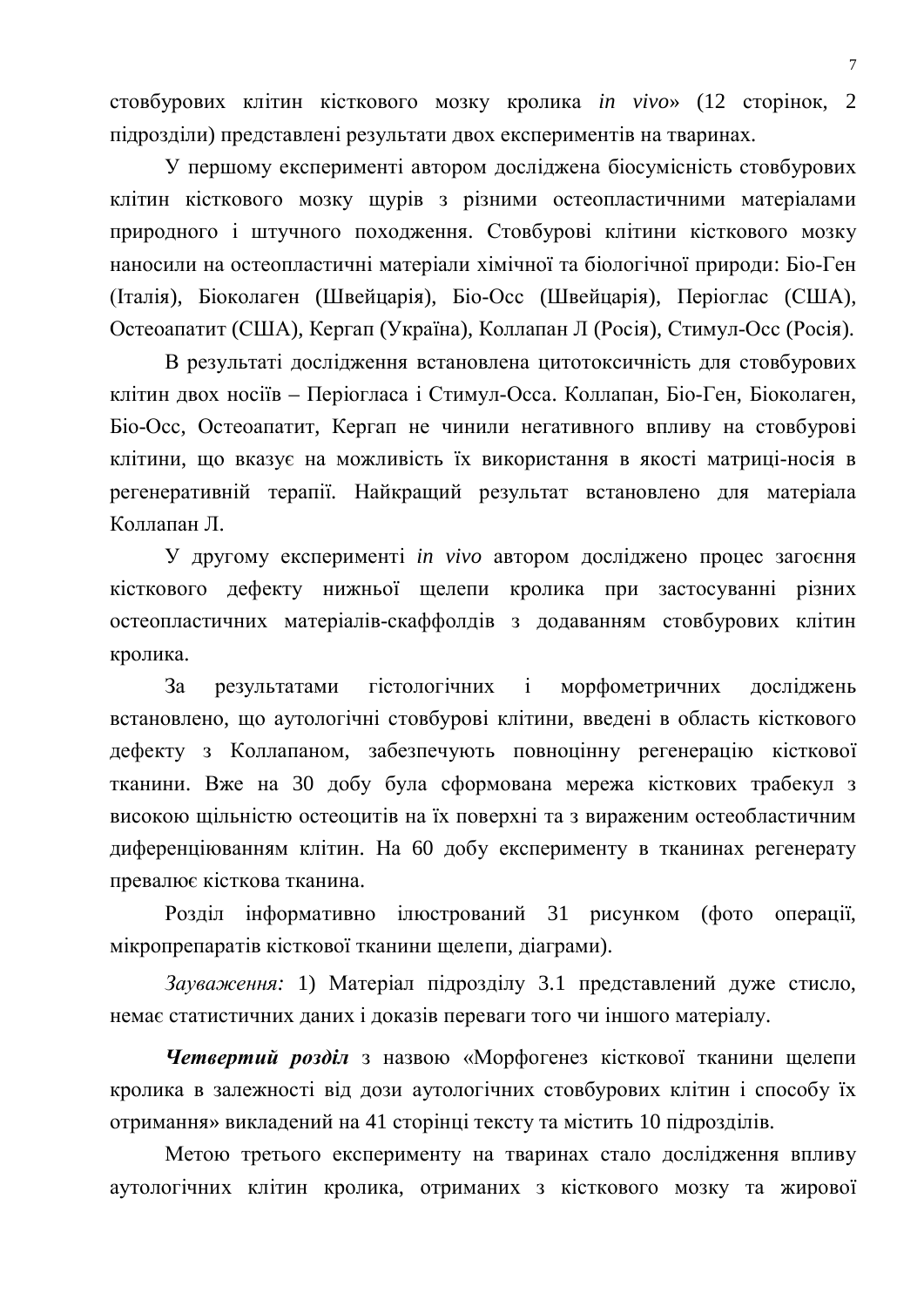стовбурових клітин кісткового мозку кролика *in vivo*» (12 сторінок, 2 підрозділи) представлені результати двох експериментів на тваринах.

У першому експерименті автором досліджена біосумісність стовбурових клітин кісткового мозку щурів з різними остеопластичними матеріалами природного і штучного походження. Стовбурові клітини кісткового мозку наносили на остеопластичні матеріали хімічної та біологічної природи: Біо-Ген (Італія), Біоколаген (Швейцарія), Біо-Осс (Швейцарія), Періоглас (США), Остеоапатит (США), Кергап (Україна), Коллапан Л (Росія), Стимул-Осс (Росія).

В результаті дослідження встановлена цитотоксичність для стовбурових клітин двох носіїв – Періогласа і Стимул-Осса. Коллапан, Біо-Ген, Біоколаген, Біо-Осс, Остеоапатит, Кергап не чинили негативного впливу на стовбурові клітини, що вказує на можливість їх використання в якості матриці-носія в регенеративній терапії. Найкращий результат встановлено для матеріала Коппапан Л.

У другому експерименті *in vivo* автором досліджено процес загоєння кісткового дефекту нижньої щелепи кролика при застосуванні різних остеопластичних матеріалів-скаффолдів з додаванням стовбурових клітин кролика.

За результатами гістологічних і морфометричних досліджень встановлено, що аутологічні стовбурові клітини, введені в область кісткового дефекту з Коллапаном, забезпечують повноцінну регенерацію кісткової тканини. Вже на 30 добу була сформована мережа кісткових трабекул з високою щільністю остеоцитів на їх поверхні та з вираженим остеобластичним диференціюванням клітин. На 60 добу експерименту в тканинах регенерату превалює кісткова тканина.

Розділ інформативно ілюстрований 31 рисунком (фото операції, мікропрепаратів кісткової тканини щелепи, діаграми).

Зауваження: 1) Матеріал підрозділу 3.1 представлений дуже стисло, немає статистичних даних і доказів переваги того чи іншого матеріалу.

**Четвертий розділ** з назвою «Морфогенез кісткової тканини щелепи кролика в залежності від дози аутологічних стовбурових клітин і способу їх отримання» викладений на 41 сторінці тексту та містить 10 підрозділів.

Метою третього експерименту на тваринах стало дослідження впливу аутологічних клітин кролика, отриманих з кісткового мозку та жирової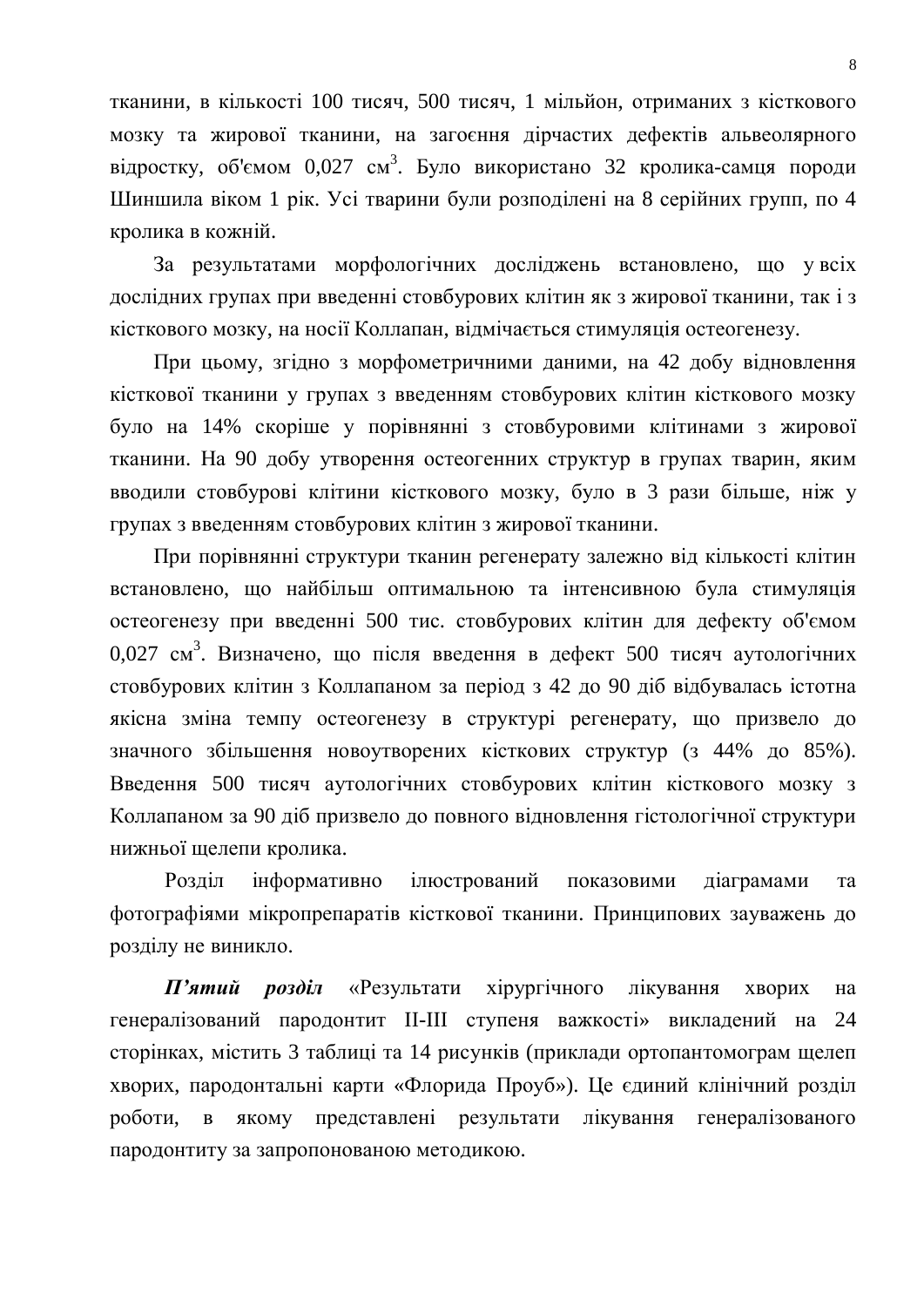тканини, в кількості 100 тисяч, 500 тисяч, 1 мільйон, отриманих з кісткового мозку та жирової тканини, на загоєння дірчастих дефектів альвеолярного відростку, об'ємом 0,027 см<sup>3</sup>. Було використано 32 кролика-самця породи Шиншила віком 1 рік. Усі тварини були розполілені на 8 серійних групп, по 4 кролика в кожній.

За результатами морфологічних досліджень встановлено, що увсіх дослідних групах при введенні стовбурових клітин як з жирової тканини, так і з кісткового мозку, на носії Коллапан, відмічається стимуляція остеогенезу.

При цьому, згідно з морфометричними даними, на 42 добу відновлення кісткової тканини у групах з введенням стовбурових клітин кісткового мозку було на 14% скоріше у порівнянні з стовбуровими клітинами з жирової тканини. На 90 добу утворення остеогенних структур в групах тварин, яким вводили стовбурові клітини кісткового мозку, було в 3 рази більше, ніж у групах з введенням стовбурових клітин з жирової тканини.

При порівнянні структури тканин регенерату залежно від кількості клітин встановлено, що найбільш оптимальною та інтенсивною була стимуляція остеогенезу при введенні 500 тис. стовбурових клітин для дефекту об'ємом 0,027 см<sup>3</sup>. Визначено, що після введення в дефект 500 тисяч аутологічних стовбурових клітин з Коллапаном за період з 42 до 90 діб відбувалась істотна якісна зміна темпу остеогенезу в структурі регенерату, що призвело до значного збільшення новоутворених кісткових структур (з 44% до 85%). Введення 500 тисяч аутологічних стовбурових клітин кісткового мозку з Коллапаном за 90 діб призвело до повного відновлення гістологічної структури нижньої щелепи кролика.

Розділ інформативно ілюстрований показовими діаграмами та фотографіями мікропрепаратів кісткової тканини. Принципових зауважень до розділу не виникло.

**П'ятий розділ** «Результати хірургічного лікування хворих на генералізований пародонтит II-III ступеня важкості» викладений на 24 сторінках, містить 3 таблиці та 14 рисунків (приклади ортопантомограм щелеп хворих, пародонтальні карти «Флорида Проуб»). Це єдиний клінічний розділ роботи, в якому представлені результати лікування генералізованого пародонтиту за запропонованою методикою.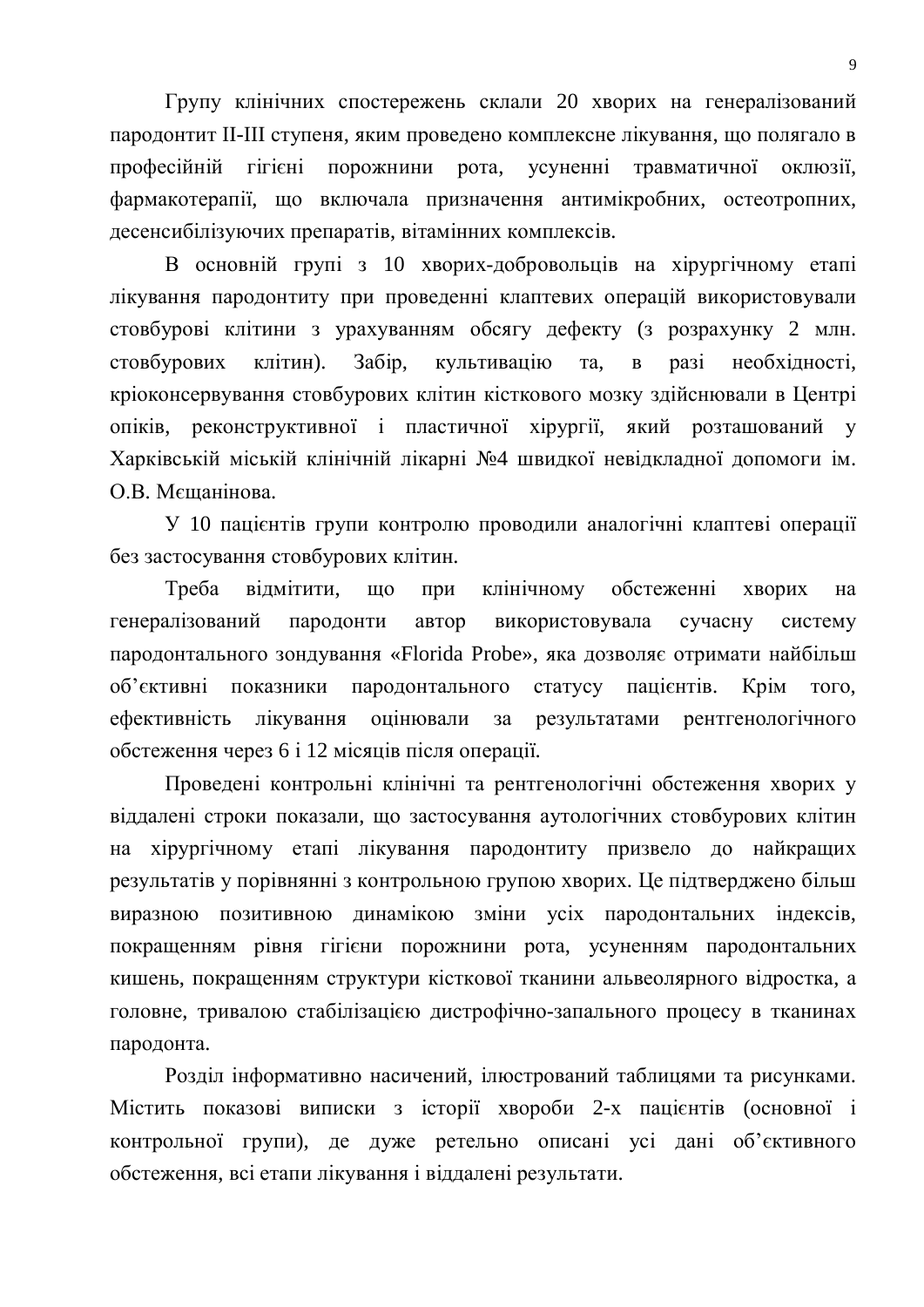Групу клінічних спостережень склали 20 хворих на генералізований пародонтит II-III ступеня, яким проведено комплексне лікування, що полягало в професійній гігієні порожнини рота, усуненні травматичної оклюзії, фармакотерапії, що включала призначення антимікробних, остеотропних, десенсибілізуючих препаратів, вітамінних комплексів.

В основній групі з 10 хворих-добровольців на хірургічному етапі лікування пародонтиту при проведенні клаптевих операцій використовували стовбурові клітини з урахуванням обсягу дефекту (з розрахунку 2 млн. стовбурових клітин). Забір, культивацію та, в разі необхідності, кріоконсервування стовбурових клітин кісткового мозку здійснювали в Центрі опіків, реконструктивної і пластичної хірургії, який розташований у Харківській міській клінічній лікарні №4 швидкої невідкладної допомоги ім. О.В. Мешанінова.

У 10 пацієнтів групи контролю проводили аналогічні клаптеві операції без застосування стовбурових клітин.

Треба відмітити, що при клінічному обстеженні хворих на генералізований пародонти автор використовувала сучасну систему пародонтального зондування «Florida Probe», яка дозволяє отримати найбільш об'єктивні показники пародонтального статусу пацієнтів. Крім того, ефективність лікування оцінювали за результатами рентгенологічного обстеження через 6 і 12 місяців після операції.

Проведені контрольні клінічні та рентгенологічні обстеження хворих у віддалені строки показали, що застосування аутологічних стовбурових клітин на хірургічному етапі лікування пародонтиту призвело до найкращих результатів у порівнянні з контрольною групою хворих. Це підтверджено більш виразною позитивною динамікою зміни усіх пародонтальних індексів, покращенням рівня гігієни порожнини рота, усуненням пародонтальних кишень, покращенням структури кісткової тканини альвеолярного відростка, а головне, тривалою стабілізацією дистрофічно-запального процесу в тканинах пародонта.

Розділ інформативно насичений, ілюстрований таблицями та рисунками. Містить показові виписки з історії хвороби 2-х пацієнтів (основної і контрольної групи), де дуже ретельно описані усі дані об'єктивного обстеження, всі етапи лікування і віддалені результати.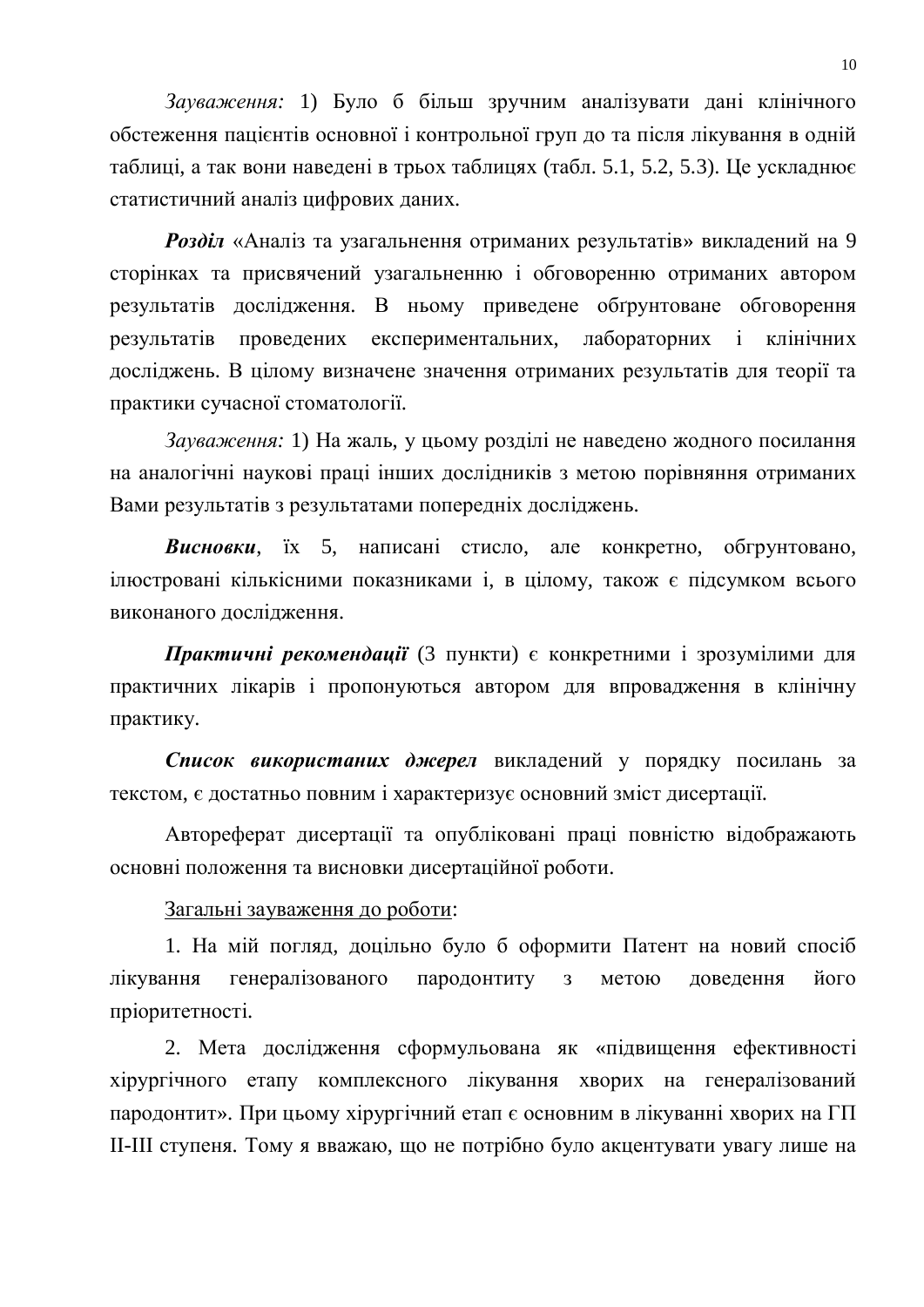Зауваження: 1) Було б більш зручним аналізувати дані клінічного обстеження пацієнтів основної і контрольної груп до та після лікування в одній таблиці, а так вони наведені в трьох таблицях (табл. 5.1, 5.2, 5.3). Це ускладнює статистичний аналіз цифрових ланих.

Розділ «Аналіз та узагальнення отриманих результатів» викладений на 9 сторінках та присвячений узагальненню і обговоренню отриманих автором результатів дослідження. В ньому приведене обґрунтоване обговорення результатів проведених експериментальних, лабораторних і клінічних досліджень. В цілому визначене значення отриманих результатів для теорії та практики сучасної стоматології.

Зауваження: 1) На жаль, у цьому розділі не наведено жодного посилання на аналогічні наукові праці інших дослідників з метою порівняння отриманих Вами результатів з результатами попередніх досліджень.

**Висновки**, їх 5, написані стисло, але конкретно, обгрунтовано, ілюстровані кількісними показниками і, в цілому, також є підсумком всього виконаного дослідження.

Практичні рекомендації (3 пункти) є конкретними і зрозумілими для практичних лікарів і пропонуються автором для впровадження в клінічну практику.

Список використаних джерел викладений у порядку посилань за текстом, є достатньо повним і характеризує основний зміст дисертації.

Автореферат дисертації та опубліковані праці повністю відображають основні положення та висновки дисертаційної роботи.

Загальні зауваження до роботи:

1. На мій погляд, доцільно було б оформити Патент на новий спосіб лікування генералізованого пародонтиту з метою доведення його пріоритетності.

2. Мета дослідження сформульована як «підвищення ефективності хірургічного етапу комплексного лікування хворих на генералізований пародонтит». При цьому хірургічний етап є основним в лікуванні хворих на ГП II-III ступеня. Тому я вважаю, що не потрібно було акцентувати увагу лише на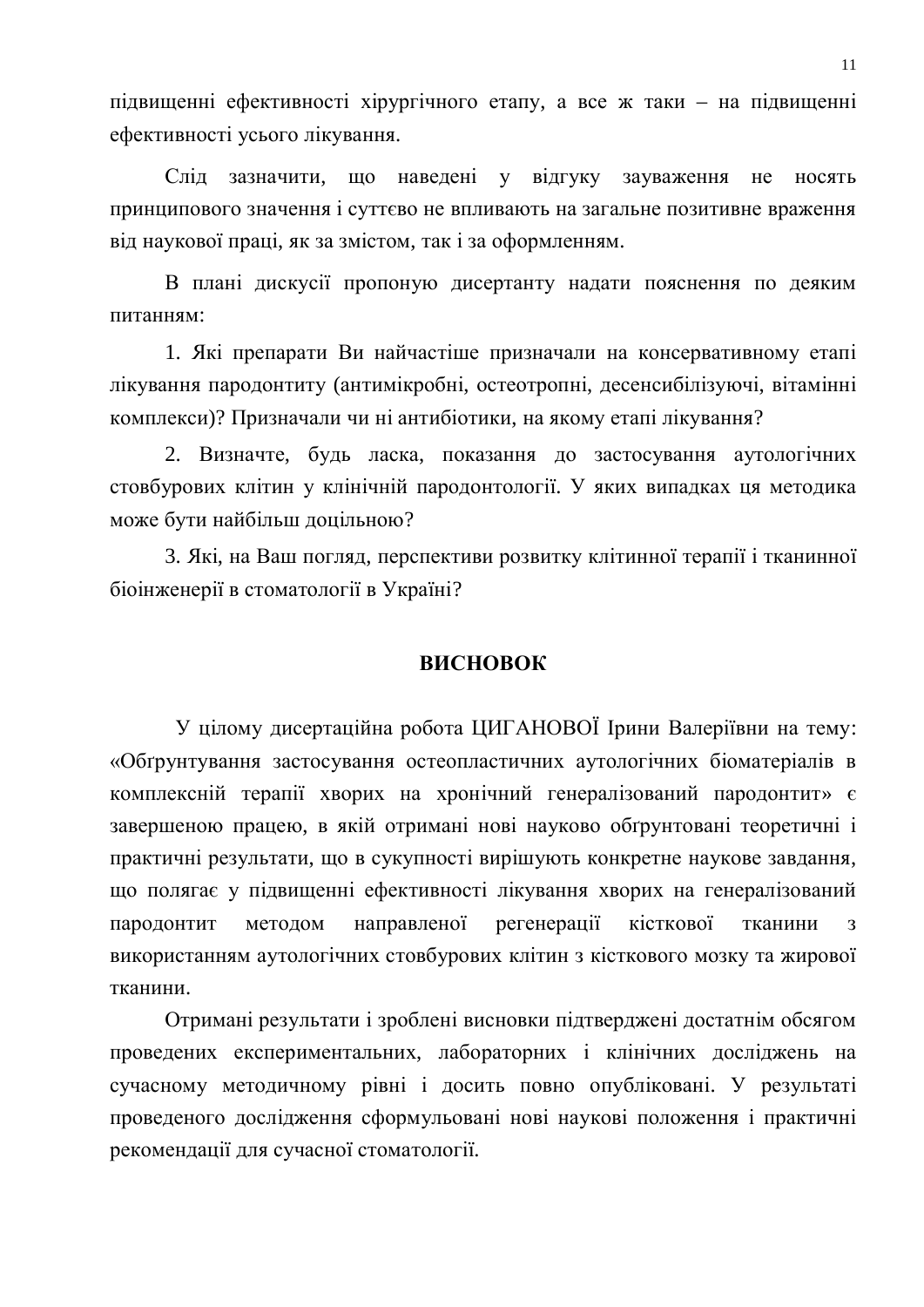підвищенні ефективності хірургічного етапу, а все ж таки – на підвищенні ефективності усього лікування.

Слід зазначити, що наведені у відгуку зауваження не носять принципового значення і суттєво не впливають на загальне позитивне враження від наукової праці, як за змістом, так і за оформленням.

В плані дискусії пропоную дисертанту надати пояснення по деяким питанням:

1. Які препарати Ви найчастіше призначали на консервативному етапі лікування пародонтиту (антимікробні, остеотропні, десенсибілізуючі, вітамінні комплекси)? Призначали чи ні антибіотики, на якому етапі лікування?

2. Визначте, будь ласка, показання до застосування аутологічних стовбурових клітин у клінічній пародонтології. У яких випадках ця методика може бути найбільш доцільною?

3. Які, на Ваш погляд, перспективи розвитку клітинної терапії і тканинної біоінженерії в стоматології в Україні?

#### **ВИСНОВОК**

У цілому дисертаційна робота ЦИГАНОВОЇ Ірини Валеріївни на тему: «Обгрунтування застосування остеопластичних аутологічних біоматеріалів в комплексній терапії хворих на хронічний генералізований пародонтит» є завершеною працею, в якій отримані нові науково обґрунтовані теоретичні і практичні результати, що в сукупності вирішують конкретне наукове завдання, що полягає у підвищенні ефективності лікування хворих на генералізований пародонтит методом направленої регенерації кісткової тканини з використанням аутологічних стовбурових клітин з кісткового мозку та жирової тканини.

Отримані результати і зроблені висновки підтверджені достатнім обсягом проведених експериментальних, лабораторних і клінічних досліджень на сучасному методичному рівні і досить повно опубліковані. У результаті проведеного дослідження сформульовані нові наукові положення і практичні рекомендації для сучасної стоматології.